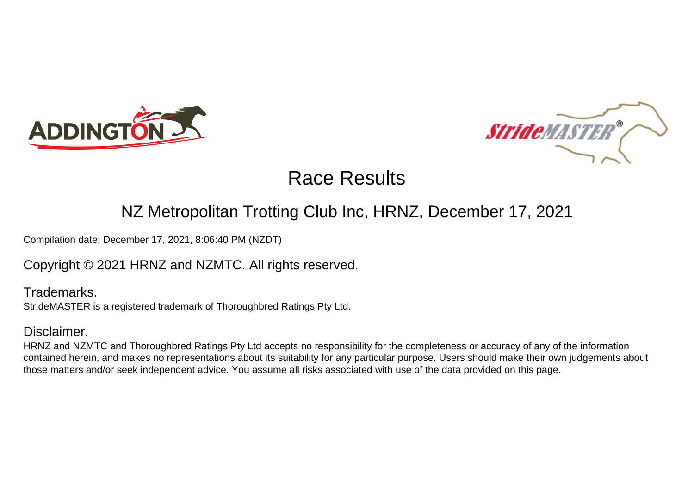



### NZ Metropolitan Trotting Club Inc, HRNZ, December 17, 2021

Compilation date: December 17, 2021, 8:06:40 PM (NZDT)

Copyright © 2021 HRNZ and NZMTC. All rights reserved.

Trademarks. StrideMASTER is a registered trademark of Thoroughbred Ratings Pty Ltd.

### Disclaimer.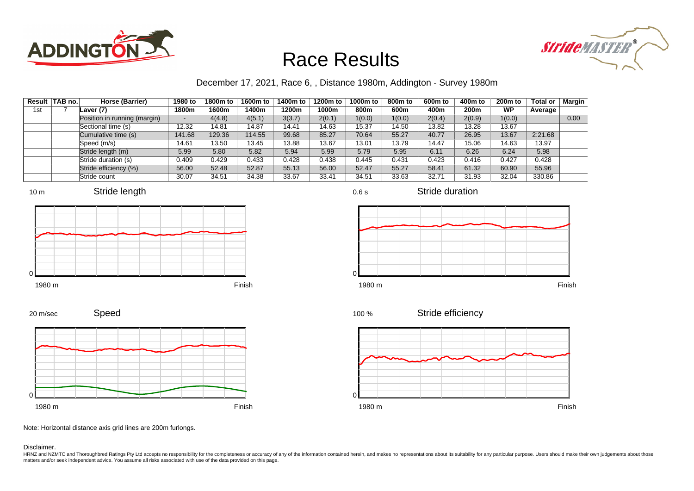



### December 17, 2021, Race 6, , Distance 1980m, Addington - Survey 1980m

0.6 s

|     | Result   TAB no. | Horse (Barrier)              | 1980 to | 1800m to | 1600m to | 1400m to | 1200m to | 1000m to | 800m to | 600m to | 400m to | 200 <sub>m</sub> to | <b>Total or</b> | <b>Margin</b> |
|-----|------------------|------------------------------|---------|----------|----------|----------|----------|----------|---------|---------|---------|---------------------|-----------------|---------------|
| 1st |                  | Laver (7)                    | 1800m   | 1600m    | 1400m    | 1200m    | 1000m    | 800m     | 600m    | 400m    | 200m    | WP                  | Average         |               |
|     |                  | Position in running (margin) | -       | 4(4.8)   | 4(5.1)   | 3(3.7)   | 2(0.1)   | 1(0.0)   | 1(0.0)  | 2(0.4)  | 2(0.9)  | 1(0.0)              |                 | 0.00          |
|     |                  | Sectional time (s)           | 12.32   | 14.81    | 14.87    | 14.41    | 14.63    | 15.37    | 14.50   | 13.82   | 13.28   | 13.67               |                 |               |
|     |                  | Cumulative time (s)          | 141.68  | 129.36   | 114.55   | 99.68    | 85.27    | 70.64    | 55.27   | 40.77   | 26.95   | 13.67               | 2:21.68         |               |
|     |                  | Speed (m/s)                  | 14.61   | 13.50    | 13.45    | 13.88    | 13.67    | 13.01    | 13.79   | 14.47   | 15.06   | 14.63               | 13.97           |               |
|     |                  | Stride length (m)            | 5.99    | 5.80     | 5.82     | 5.94     | 5.99     | 5.79     | 5.95    | 6.11    | 6.26    | 6.24                | 5.98            |               |
|     |                  | Stride duration (s)          | 0.409   | 0.429    | 0.433    | 0.428    | 0.438    | 0.445    | 0.431   | 0.423   | 0.416   | 0.427               | 0.428           |               |
|     |                  | Stride efficiency (%)        | 56.00   | 52.48    | 52.87    | 55.13    | 56.00    | 52.47    | 55.27   | 58.41   | 61.32   | 60.90               | 55.96           |               |
|     |                  | Stride count                 | 30.07   | 34.51    | 34.38    | 33.67    | 33.41    | 34.51    | 33.63   | 32.71   | 31.93   | 32.04               | 330.86          |               |







Stride duration









Note: Horizontal distance axis grid lines are 200m furlongs.

Speed

#### Disclaimer.

20 m/sec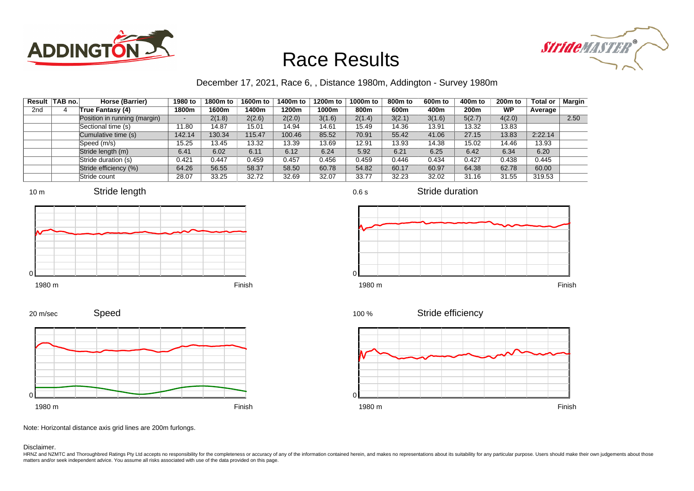



### December 17, 2021, Race 6, , Distance 1980m, Addington - Survey 1980m

|                 | Result TAB no. | Horse (Barrier)              | 1980 to | 1800m to | 1600m to | 1400m to | 1200m to | 1000m to | 800m to | 600 <sub>m</sub> to | 400m to | 200 <sub>m</sub> to | <b>Total or</b> | Margin |
|-----------------|----------------|------------------------------|---------|----------|----------|----------|----------|----------|---------|---------------------|---------|---------------------|-----------------|--------|
| 2 <sub>nd</sub> | 4              | True Fantasy (4)             | 1800m   | 1600m    | 1400m    | 1200m    | 1000m    | 800m     | 600m    | 400m                | 200m    | WP                  | Average         |        |
|                 |                | Position in running (margin) |         | 2(1.8)   | 2(2.6)   | 2(2.0)   | 3(1.6)   | 2(1.4)   | 3(2.1)  | 3(1.6)              | 5(2.7)  | 4(2.0)              |                 | 2.50   |
|                 |                | Sectional time (s)           | 11.80   | 14.87    | 15.01    | 14.94    | 14.61    | 15.49    | 14.36   | 13.91               | 13.32   | 13.83               |                 |        |
|                 |                | Cumulative time (s)          | 142.14  | 130.34   | 115.47   | 100.46   | 85.52    | 70.91    | 55.42   | 41.06               | 27.15   | 13.83               | 2:22.14         |        |
|                 |                | Speed (m/s)                  | 15.25   | 13.45    | 13.32    | 13.39    | 13.69    | 12.91    | 13.93   | 14.38               | 15.02   | 14.46               | 13.93           |        |
|                 |                | Stride length (m)            | 6.41    | 6.02     | 6.11     | 6.12     | 6.24     | 5.92     | 6.21    | 6.25                | 6.42    | 6.34                | 6.20            |        |
|                 |                | Stride duration (s)          | 0.421   | 0.447    | 0.459    | 0.457    | 0.456    | 0.459    | 0.446   | 0.434               | 0.427   | 0.438               | 0.445           |        |
|                 |                | Stride efficiency (%)        | 64.26   | 56.55    | 58.37    | 58.50    | 60.78    | 54.82    | 60.17   | 60.97               | 64.38   | 62.78               | 60.00           |        |
|                 |                | Stride count                 | 28.07   | 33.25    | 32.72    | 32.69    | 32.07    | 33.77    | 32.23   | 32.02               | 31.16   | 31.55               | 319.53          |        |











Stride duration



Stride efficiency 100 %



Note: Horizontal distance axis grid lines are 200m furlongs.

#### Disclaimer.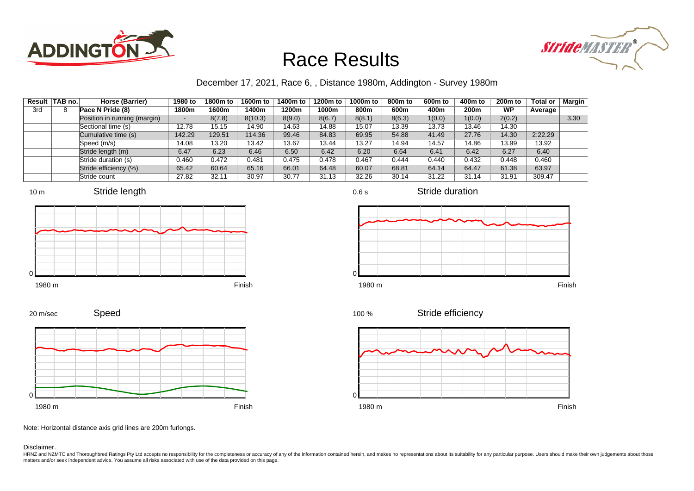



### December 17, 2021, Race 6, , Distance 1980m, Addington - Survey 1980m

| Result | <b>TAB no.</b> | Horse (Barrier)              | 1980 to | 1800m to | 1600m to | 1400m to | 1200m to | 1000m to | 800m to | 600 <sub>m</sub> to | 400m to | 200 <sub>m</sub> to | <b>Total or</b> | Margin |
|--------|----------------|------------------------------|---------|----------|----------|----------|----------|----------|---------|---------------------|---------|---------------------|-----------------|--------|
| 3rd    | 8              | Pace N Pride (8)             | 1800m   | 1600m    | 1400m    | 1200m    | 1000m    | 800m     | 600m    | 400m                | 200m    | WP                  | Average         |        |
|        |                | Position in running (margin) |         | 8(7.8)   | 8(10.3)  | 8(9.0)   | 8(6.7)   | 8(8.1)   | 8(6.3)  | 1(0.0)              | 1(0.0)  | 2(0.2)              |                 | 3.30   |
|        |                | Sectional time (s)           | 12.78   | 15.15    | 14.90    | 14.63    | 14.88    | 15.07    | 13.39   | 13.73               | 13.46   | 14.30               |                 |        |
|        |                | Cumulative time (s)          | 142.29  | 129.51   | 114.36   | 99.46    | 84.83    | 69.95    | 54.88   | 41.49               | 27.76   | 14.30               | 2:22.29         |        |
|        |                | Speed (m/s)                  | 14.08   | 13.20    | 13.42    | 13.67    | 13.44    | 13.27    | 14.94   | 14.57               | 14.86   | 13.99               | 13.92           |        |
|        |                | Stride length (m)            | 6.47    | 6.23     | 6.46     | 6.50     | 6.42     | 6.20     | 6.64    | 6.41                | 6.42    | 6.27                | 6.40            |        |
|        |                | Stride duration (s)          | 0.460   | 0.472    | 0.481    | 0.475    | 0.478    | 0.467    | 0.444   | 0.440               | 0.432   | 0.448               | 0.460           |        |
|        |                | Stride efficiency (%)        | 65.42   | 60.64    | 65.16    | 66.01    | 64.48    | 60.07    | 68.81   | 64.14               | 64.47   | 61.38               | 63.97           |        |
|        |                | Stride count                 | 27.82   | 32.11    | 30.97    | 30.77    | 31.13    | 32.26    | 30.14   | 31.22               | 31.14   | 31.91               | 309.47          |        |









Stride duration







1980 m Finish

Stride efficiency 100 %



Note: Horizontal distance axis grid lines are 200m furlongs.

Disclaimer.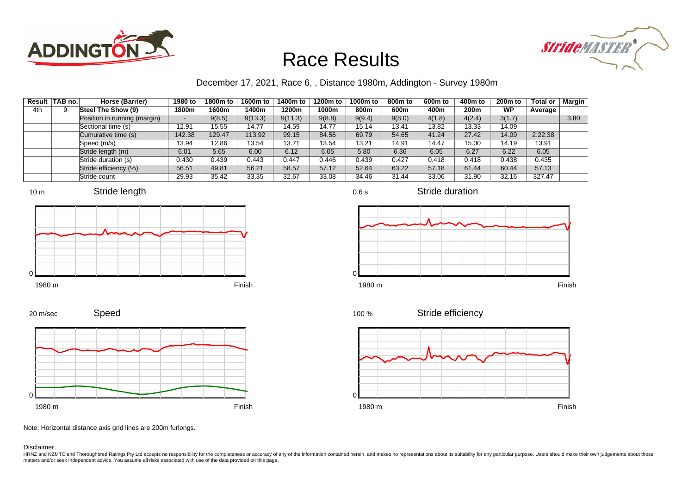



### December 17, 2021, Race 6, , Distance 1980m, Addington - Survey 1980m

|     | Result TAB no. | Horse (Barrier)              | 1980 to | 1800m to | 1600m to | 1400m to | 1200m to | 1000m to | 800m to | 600m to | 400m to | 200 <sub>m</sub> to | <b>Total or</b> | Margin |
|-----|----------------|------------------------------|---------|----------|----------|----------|----------|----------|---------|---------|---------|---------------------|-----------------|--------|
| 4th |                | Steel The Show (9)           | 1800m   | 1600m    | 1400m    | 1200m    | 1000m    | 800m     | 600m    | 400m    | 200m    | WP                  | Average         |        |
|     |                | Position in running (margin) | -       | 9(8.5)   | 9(13.3)  | 9(11.3)  | 9(8.8)   | 9(9.4)   | 9(8.0)  | 4(1.8)  | 4(2.4)  | 3(1.7)              |                 | 3.80   |
|     |                | Sectional time (s)           | 12.91   | 15.55    | 14.77    | 14.59    | 14.77    | 15.14    | 13.41   | 13.82   | 13.33   | 14.09               |                 |        |
|     |                | Cumulative time (s)          | 142.38  | 129.47   | 113.92   | 99.15    | 84.56    | 69.79    | 54.65   | 41.24   | 27.42   | 14.09               | 2:22.38         |        |
|     |                | Speed (m/s)                  | 13.94   | 12.86    | 13.54    | 13.71    | 13.54    | 13.21    | 14.91   | 14.47   | 15.00   | 14.19               | 13.91           |        |
|     |                | Stride length (m)            | 6.01    | 5.65     | 6.00     | 6.12     | 6.05     | 5.80     | 6.36    | 6.05    | 6.27    | 6.22                | 6.05            |        |
|     |                | Stride duration (s)          | 0.430   | 0.439    | 0.443    | 0.447    | 0.446    | 0.439    | 0.427   | 0.418   | 0.418   | 0.438               | 0.435           |        |
|     |                | Stride efficiency (%)        | 56.51   | 49.81    | 56.21    | 58.57    | 57.12    | 52.64    | 63.22   | 57.18   | 61.44   | 60.44               | 57.13           |        |
|     |                | Stride count                 | 29.93   | 35.42    | 33.35    | 32.67    | 33.08    | 34.46    | 31.44   | 33.06   | 31.90   | 32.16               | 327.47          |        |









0.6 s

Stride duration



Stride efficiency 100 %



Note: Horizontal distance axis grid lines are 200m furlongs.

#### Disclaimer.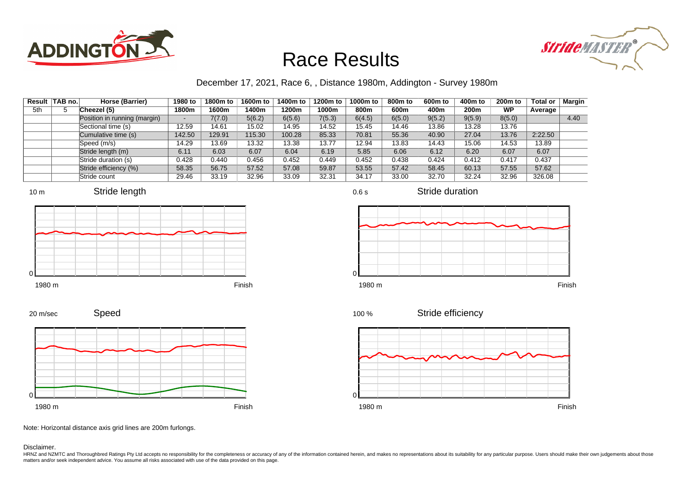



### December 17, 2021, Race 6, , Distance 1980m, Addington - Survey 1980m

|     | Result TAB no. | Horse (Barrier)              | 1980 to | 1800m to | 1600m to | 1400m to | 1200m to | 1000m to | 800m to | 600 <sub>m</sub> to | 400m to | 200 <sub>m</sub> to | <b>Total or</b> | Margin |
|-----|----------------|------------------------------|---------|----------|----------|----------|----------|----------|---------|---------------------|---------|---------------------|-----------------|--------|
| 5th | 5              | Cheezel (5)                  | 1800m   | 1600m    | 1400m    | 1200m    | 1000m    | 800m     | 600m    | 400m                | 200m    | WP                  | Average         |        |
|     |                | Position in running (margin) |         | 7(7.0)   | 5(6.2)   | 6(5.6)   | 7(5.3)   | 6(4.5)   | 6(5.0)  | 9(5.2)              | 9(5.9)  | 8(5.0)              |                 | 4.40   |
|     |                | Sectional time (s)           | 12.59   | 14.61    | 15.02    | 14.95    | 14.52    | 15.45    | 14.46   | 13.86               | 13.28   | 13.76               |                 |        |
|     |                | Cumulative time (s)          | 142.50  | 129.91   | 115.30   | 100.28   | 85.33    | 70.81    | 55.36   | 40.90               | 27.04   | 13.76               | 2:22.50         |        |
|     |                | Speed (m/s)                  | 14.29   | 13.69    | 13.32    | 13.38    | 13.77    | 12.94    | 13.83   | 14.43               | 15.06   | 14.53               | 13.89           |        |
|     |                | Stride length (m)            | 6.11    | 6.03     | 6.07     | 6.04     | 6.19     | 5.85     | 6.06    | 6.12                | 6.20    | 6.07                | 6.07            |        |
|     |                | Stride duration (s)          | 0.428   | 0.440    | 0.456    | 0.452    | 0.449    | 0.452    | 0.438   | 0.424               | 0.412   | 0.417               | 0.437           |        |
|     |                | Stride efficiency (%)        | 58.35   | 56.75    | 57.52    | 57.08    | 59.87    | 53.55    | 57.42   | 58.45               | 60.13   | 57.55               | 57.62           |        |
|     |                | Stride count                 | 29.46   | 33.19    | 32.96    | 33.09    | 32.31    | 34.17    | 33.00   | 32.70               | 32.24   | 32.96               | 326.08          |        |







Stride duration













Note: Horizontal distance axis grid lines are 200m furlongs.

#### Disclaimer.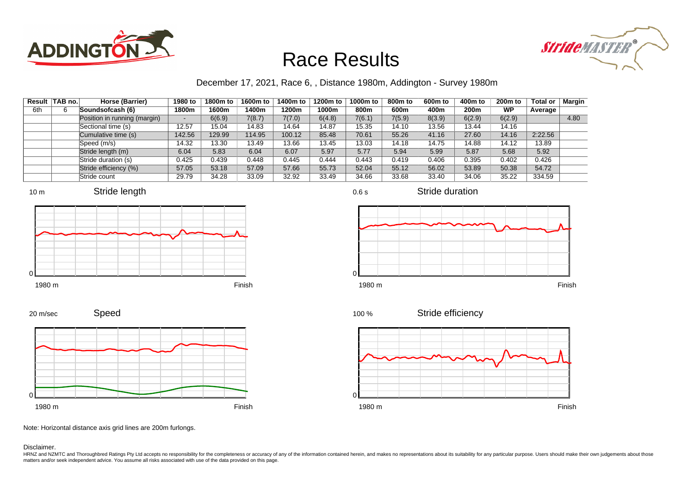



### December 17, 2021, Race 6, , Distance 1980m, Addington - Survey 1980m

|     | Result   TAB no. | Horse (Barrier)              | 1980 to | 1800m to | 1600m to | 1400m to | 1200m to | 1000m to | 800m to | 600m to | 400m to | 200 <sub>m</sub> to | <b>Total or</b> | <b>Margin</b> |
|-----|------------------|------------------------------|---------|----------|----------|----------|----------|----------|---------|---------|---------|---------------------|-----------------|---------------|
| 6th | 6                | Soundsofcash (6)             | 1800m   | 1600m    | 1400m    | 1200m    | 1000m    | 800m     | 600m    | 400m    | 200m    | <b>WP</b>           | Average         |               |
|     |                  | Position in running (margin) |         | 6(6.9)   | 7(8.7)   | 7(7.0)   | 6(4.8)   | 7(6.1)   | 7(5.9)  | 8(3.9)  | 6(2.9)  | 6(2.9)              |                 | 4.80          |
|     |                  | Sectional time (s)           | 12.57   | 15.04    | 14.83    | 14.64    | 14.87    | 15.35    | 14.10   | 13.56   | 13.44   | 14.16               |                 |               |
|     |                  | Cumulative time (s)          | 142.56  | 129.99   | 114.95   | 100.12   | 85.48    | 70.61    | 55.26   | 41.16   | 27.60   | 14.16               | 2:22.56         |               |
|     |                  | Speed (m/s)                  | 14.32   | 13.30    | 13.49    | 13.66    | 13.45    | 13.03    | 14.18   | 14.75   | 14.88   | 14.12               | 13.89           |               |
|     |                  | Stride length (m)            | 6.04    | 5.83     | 6.04     | 6.07     | 5.97     | 5.77     | 5.94    | 5.99    | 5.87    | 5.68                | 5.92            |               |
|     |                  | Stride duration (s)          | 0.425   | 0.439    | 0.448    | 0.445    | 0.444    | 0.443    | 0.419   | 0.406   | 0.395   | 0.402               | 0.426           |               |
|     |                  | Stride efficiency (%)        | 57.05   | 53.18    | 57.09    | 57.66    | 55.73    | 52.04    | 55.12   | 56.02   | 53.89   | 50.38               | 54.72           |               |
|     |                  | Stride count                 | 29.79   | 34.28    | 33.09    | 32.92    | 33.49    | 34.66    | 33.68   | 33.40   | 34.06   | 35.22               | 334.59          |               |







Stride duration









Note: Horizontal distance axis grid lines are 200m furlongs.

Disclaimer.

HRNZ and NZMTC and Thoroughbred Ratings Pty Ltd accepts no responsibility for the completeness or accuracy of any of the information contained herein, and makes no representations about its suitability for any particular p matters and/or seek independent advice. You assume all risks associated with use of the data provided on this page.

0.6 s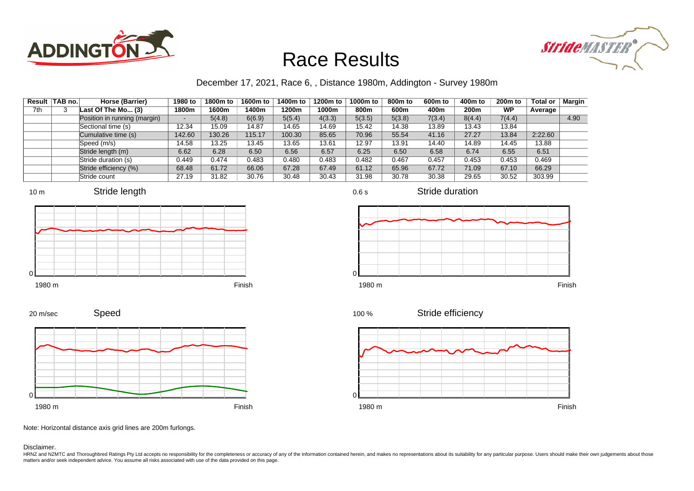



### December 17, 2021, Race 6, , Distance 1980m, Addington - Survey 1980m

| Result | TAB no. | Horse (Barrier)              | 1980 to | 1800m to | 1600m to | 1400m to | 1200m to | 1000m to | 800 <sub>m</sub> to | 600m to | 400m to          | 200 <sub>m</sub> to | <b>Total or</b> | Margin |
|--------|---------|------------------------------|---------|----------|----------|----------|----------|----------|---------------------|---------|------------------|---------------------|-----------------|--------|
| 7th    | 3       | Last Of The Mo (3)           | 1800m   | 1600m    | 1400m    | 1200m    | 1000m    | 800m     | 600m                | 400m    | 200 <sub>m</sub> | WP                  | Average         |        |
|        |         | Position in running (margin) | -       | 5(4.8)   | 6(6.9)   | 5(5.4)   | 4(3.3)   | 5(3.5)   | 5(3.8)              | 7(3.4)  | 8(4.4)           | 7(4.4)              |                 | 4.90   |
|        |         | Sectional time (s)           | 12.34   | 15.09    | 14.87    | 14.65    | 14.69    | 15.42    | 14.38               | 13.89   | 13.43            | 13.84               |                 |        |
|        |         | Cumulative time (s)          | 142.60  | 130.26   | 115.17   | 100.30   | 85.65    | 70.96    | 55.54               | 41.16   | 27.27            | 13.84               | 2:22.60         |        |
|        |         | Speed (m/s)                  | 14.58   | 13.25    | 13.45    | 13.65    | 13.61    | 12.97    | 13.91               | 14.40   | 14.89            | 14.45               | 13.88           |        |
|        |         | Stride length (m)            | 6.62    | 6.28     | 6.50     | 6.56     | 6.57     | 6.25     | 6.50                | 6.58    | 6.74             | 6.55                | 6.51            |        |
|        |         | Stride duration (s)          | 0.449   | 0.474    | 0.483    | 0.480    | 0.483    | 0.482    | 0.467               | 0.457   | 0.453            | 0.453               | 0.469           |        |
|        |         | Stride efficiency (%)        | 68.48   | 61.72    | 66.06    | 67.28    | 67.49    | 61.12    | 65.96               | 67.72   | 71.09            | 67.10               | 66.29           |        |
|        |         | Stride count                 | 27.19   | 31.82    | 30.76    | 30.48    | 30.43    | 31.98    | 30.78               | 30.38   | 29.65            | 30.52               | 303.99          |        |











0.6 s

Stride duration



Stride efficiency 100 %



Note: Horizontal distance axis grid lines are 200m furlongs.

Speed

#### Disclaimer.

20 m/sec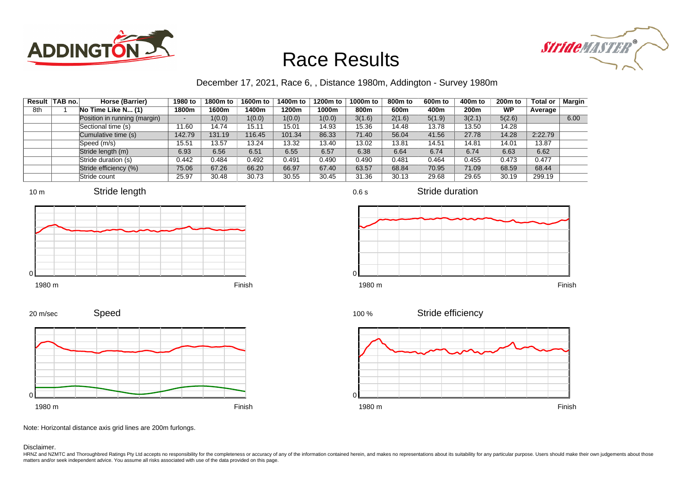



### December 17, 2021, Race 6, , Distance 1980m, Addington - Survey 1980m

|     | Result TAB no. | Horse (Barrier)              | 1980 to | 1800m to | 1600m to | 1400m to | 1200m to | 1000m to | 800m to | 600 <sub>m</sub> to | 400m to | 200 <sub>m</sub> to | <b>Total or</b> | Margin |
|-----|----------------|------------------------------|---------|----------|----------|----------|----------|----------|---------|---------------------|---------|---------------------|-----------------|--------|
| 8th |                | No Time Like N (1)           | 1800m   | 1600m    | 1400m    | 1200m    | 1000m    | 800m     | 600m    | 400m                | 200m    | WP                  | Average         |        |
|     |                | Position in running (margin) |         | 1(0.0)   | 1(0.0)   | 1(0.0)   | 1(0.0)   | 3(1.6)   | 2(1.6)  | 5(1.9)              | 3(2.1)  | 5(2.6)              |                 | 6.00   |
|     |                | Sectional time (s)           | 11.60   | 14.74    | 15.11    | 15.01    | 14.93    | 15.36    | 14.48   | 13.78               | 13.50   | 14.28               |                 |        |
|     |                | Cumulative time (s)          | 142.79  | 131.19   | 116.45   | 101.34   | 86.33    | 71.40    | 56.04   | 41.56               | 27.78   | 14.28               | 2:22.79         |        |
|     |                | Speed (m/s)                  | 15.51   | 13.57    | 13.24    | 13.32    | 13.40    | 13.02    | 13.81   | 14.51               | 14.81   | 14.01               | 13.87           |        |
|     |                | Stride length (m)            | 6.93    | 6.56     | 6.51     | 6.55     | 6.57     | 6.38     | 6.64    | 6.74                | 6.74    | 6.63                | 6.62            |        |
|     |                | Stride duration (s)          | 0.442   | 0.484    | 0.492    | 0.491    | 0.490    | 0.490    | 0.481   | 0.464               | 0.455   | 0.473               | 0.477           |        |
|     |                | Stride efficiency (%)        | 75.06   | 67.26    | 66.20    | 66.97    | 67.40    | 63.57    | 68.84   | 70.95               | 71.09   | 68.59               | 68.44           |        |
|     |                | Stride count                 | 25.97   | 30.48    | 30.73    | 30.55    | 30.45    | 31.36    | 30.13   | 29.68               | 29.65   | 30.19               | 299.19          |        |





![](_page_8_Figure_7.jpeg)

![](_page_8_Figure_8.jpeg)

![](_page_8_Figure_9.jpeg)

0.6 s

![](_page_8_Figure_11.jpeg)

Stride duration

Stride efficiency 100 %

![](_page_8_Figure_13.jpeg)

Note: Horizontal distance axis grid lines are 200m furlongs.

Disclaimer.